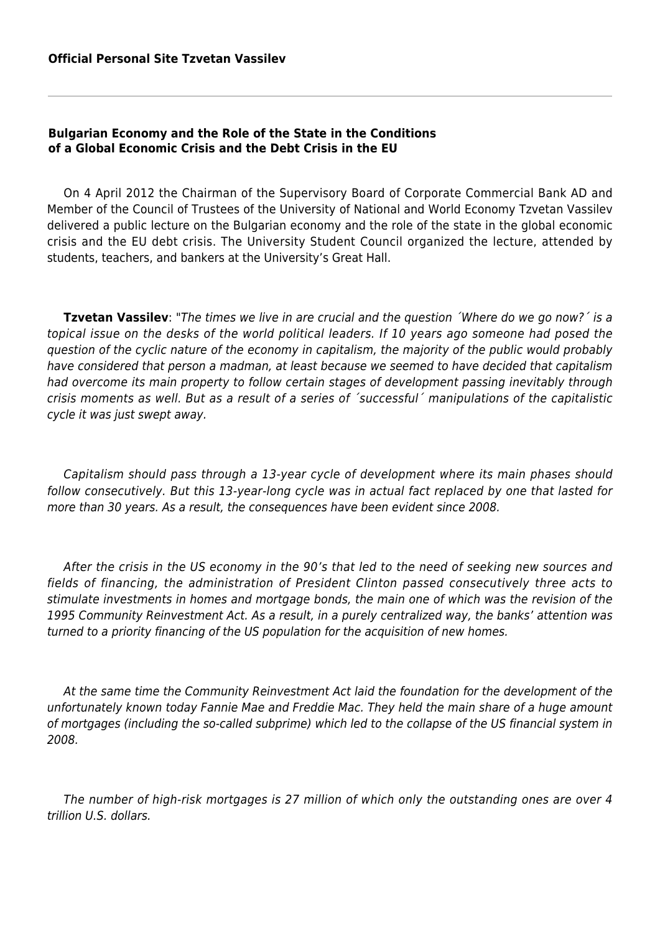## **Bulgarian Economy and the Role of the State in the Conditions of a Global Economic Crisis and the Debt Crisis in the EU**

On 4 April 2012 the Chairman of the Supervisory Board of Corporate Commercial Bank AD and Member of the Council of Trustees of the University of National and World Economy Tzvetan Vassilev delivered a public lecture on the Bulgarian economy and the role of the state in the global economic crisis and the EU debt crisis. The University Student Council organized the lecture, attended by students, teachers, and bankers at the University's Great Hall.

**Tzvetan Vassilev**: "The times we live in are crucial and the question ´Where do we go now?´ is a topical issue on the desks of the world political leaders. If 10 years ago someone had posed the question of the cyclic nature of the economy in capitalism, the majority of the public would probably have considered that person a madman, at least because we seemed to have decided that capitalism had overcome its main property to follow certain stages of development passing inevitably through crisis moments as well. But as a result of a series of ´successful´ manipulations of the capitalistic cycle it was just swept away.

Capitalism should pass through a 13-year cycle of development where its main phases should follow consecutively. But this 13-year-long cycle was in actual fact replaced by one that lasted for more than 30 years. As a result, the consequences have been evident since 2008.

After the crisis in the US economy in the 90's that led to the need of seeking new sources and fields of financing, the administration of President Clinton passed consecutively three acts to stimulate investments in homes and mortgage bonds, the main one of which was the revision of the 1995 Community Reinvestment Act. As a result, in a purely centralized way, the banks' attention was turned to a priority financing of the US population for the acquisition of new homes.

At the same time the Community Reinvestment Act laid the foundation for the development of the unfortunately known today Fannie Мае and Freddie Мас. They held the main share of a huge amount of mortgages (including the so-called subprime) which led to the collapse of the US financial system in 2008.

The number of high-risk mortgages is 27 million of which only the outstanding ones are over 4 trillion U.S. dollars.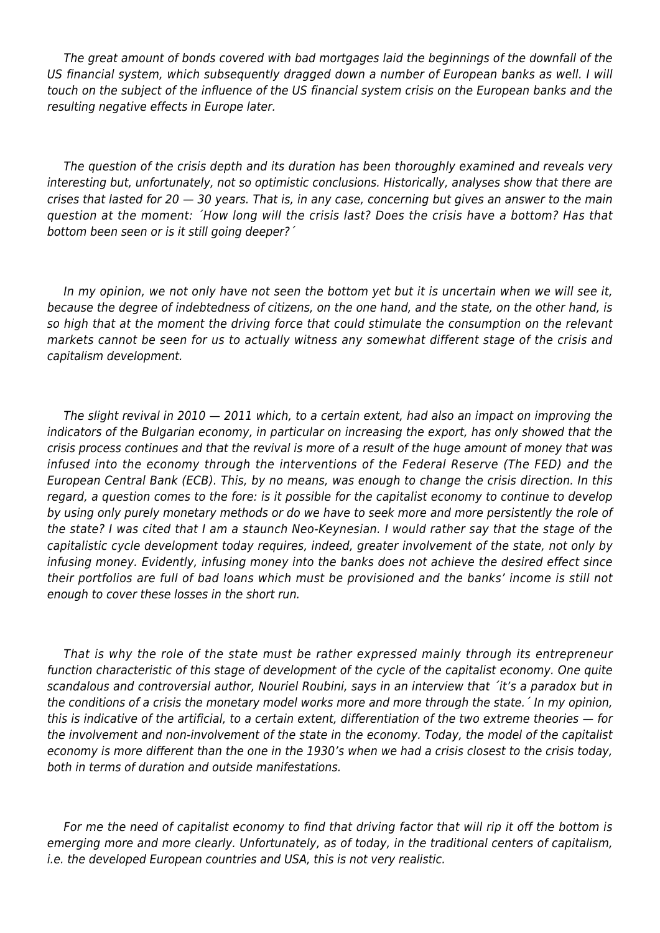The great amount of bonds covered with bad mortgages laid the beginnings of the downfall of the US financial system, which subsequently dragged down a number of European banks as well. I will touch on the subject of the influence of the US financial system crisis on the European banks and the resulting negative effects in Europe later.

The question of the crisis depth and its duration has been thoroughly examined and reveals very interesting but, unfortunately, not so optimistic conclusions. Historically, analyses show that there are crises that lasted for 20 — 30 years. That is, in any case, concerning but gives an answer to the main question at the moment: ´How long will the crisis last? Does the crisis have a bottom? Has that bottom been seen or is it still going deeper?´

In my opinion, we not only have not seen the bottom yet but it is uncertain when we will see it, because the degree of indebtedness of citizens, on the one hand, and the state, on the other hand, is so high that at the moment the driving force that could stimulate the consumption on the relevant markets cannot be seen for us to actually witness any somewhat different stage of the crisis and capitalism development.

The slight revival in 2010 — 2011 which, to a certain extent, had also an impact on improving the indicators of the Bulgarian economy, in particular on increasing the export, has only showed that the crisis process continues and that the revival is more of a result of the huge amount of money that was infused into the economy through the interventions of the Federal Reserve (The FED) and the European Central Bank (ECB). This, by no means, was enough to change the crisis direction. In this regard, a question comes to the fore: is it possible for the capitalist economy to continue to develop by using only purely monetary methods or do we have to seek more and more persistently the role of the state? I was cited that I am a staunch Neo-Keynesian. I would rather say that the stage of the capitalistic cycle development today requires, indeed, greater involvement of the state, not only by infusing money. Evidently, infusing money into the banks does not achieve the desired effect since their portfolios are full of bad loans which must be provisioned and the banks' income is still not enough to cover these losses in the short run.

That is why the role of the state must be rather expressed mainly through its entrepreneur function characteristic of this stage of development of the cycle of the capitalist economy. One quite scandalous and controversial author, Nouriel Roubini, says in an interview that ´it's a paradox but in the conditions of a crisis the monetary model works more and more through the state.´ In my opinion, this is indicative of the artificial, to a certain extent, differentiation of the two extreme theories — for the involvement and non-involvement of the state in the economy. Today, the model of the capitalist economy is more different than the one in the 1930's when we had a crisis closest to the crisis today, both in terms of duration and outside manifestations.

For me the need of capitalist economy to find that driving factor that will rip it off the bottom is emerging more and more clearly. Unfortunately, as of today, in the traditional centers of capitalism, i.e. the developed European countries and USA, this is not very realistic.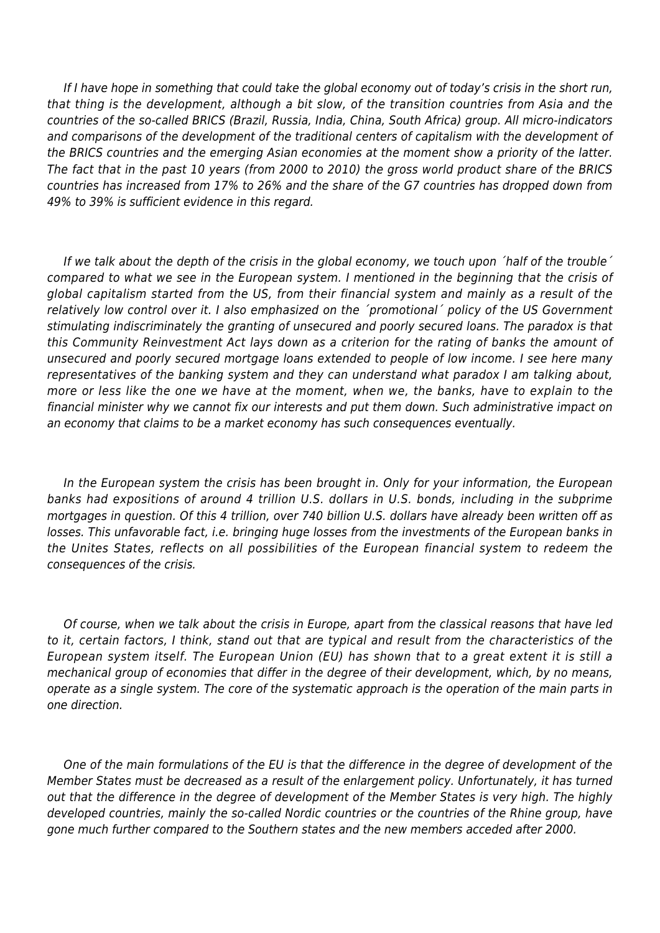If I have hope in something that could take the global economy out of today's crisis in the short run, that thing is the development, although a bit slow, of the transition countries from Asia and the countries of the so-called BRICS (Brazil, Russia, India, China, South Africa) group. All micro-indicators and comparisons of the development of the traditional centers of capitalism with the development of the BRICS countries and the emerging Asian economies at the moment show a priority of the latter. The fact that in the past 10 years (from 2000 to 2010) the gross world product share of the BRICS countries has increased from 17% to 26% and the share of the G7 countries has dropped down from 49% to 39% is sufficient evidence in this regard.

If we talk about the depth of the crisis in the global economy, we touch upon 'half of the trouble' compared to what we see in the European system. I mentioned in the beginning that the crisis of global capitalism started from the US, from their financial system and mainly as a result of the relatively low control over it. I also emphasized on the ´promotional´ policy of the US Government stimulating indiscriminately the granting of unsecured and poorly secured loans. The paradox is that this Community Reinvestment Act lays down as a criterion for the rating of banks the amount of unsecured and poorly secured mortgage loans extended to people of low income. I see here many representatives of the banking system and they can understand what paradox I am talking about, more or less like the one we have at the moment, when we, the banks, have to explain to the financial minister why we cannot fix our interests and put them down. Such administrative impact on an economy that claims to be a market economy has such consequences eventually.

In the European system the crisis has been brought in. Only for your information, the European banks had expositions of around 4 trillion U.S. dollars in U.S. bonds, including in the subprime mortgages in question. Of this 4 trillion, over 740 billion U.S. dollars have already been written off as losses. This unfavorable fact, i.e. bringing huge losses from the investments of the European banks in the Unites States, reflects on all possibilities of the European financial system to redeem the consequences of the crisis.

Of course, when we talk about the crisis in Europe, apart from the classical reasons that have led to it, certain factors, I think, stand out that are typical and result from the characteristics of the European system itself. The European Union (EU) has shown that to a great extent it is still a mechanical group of economies that differ in the degree of their development, which, by no means, operate as a single system. The core of the systematic approach is the operation of the main parts in one direction.

One of the main formulations of the EU is that the difference in the degree of development of the Member States must be decreased as a result of the enlargement policy. Unfortunately, it has turned out that the difference in the degree of development of the Member States is very high. The highly developed countries, mainly the so-called Nordic countries or the countries of the Rhine group, have gone much further compared to the Southern states and the new members acceded after 2000.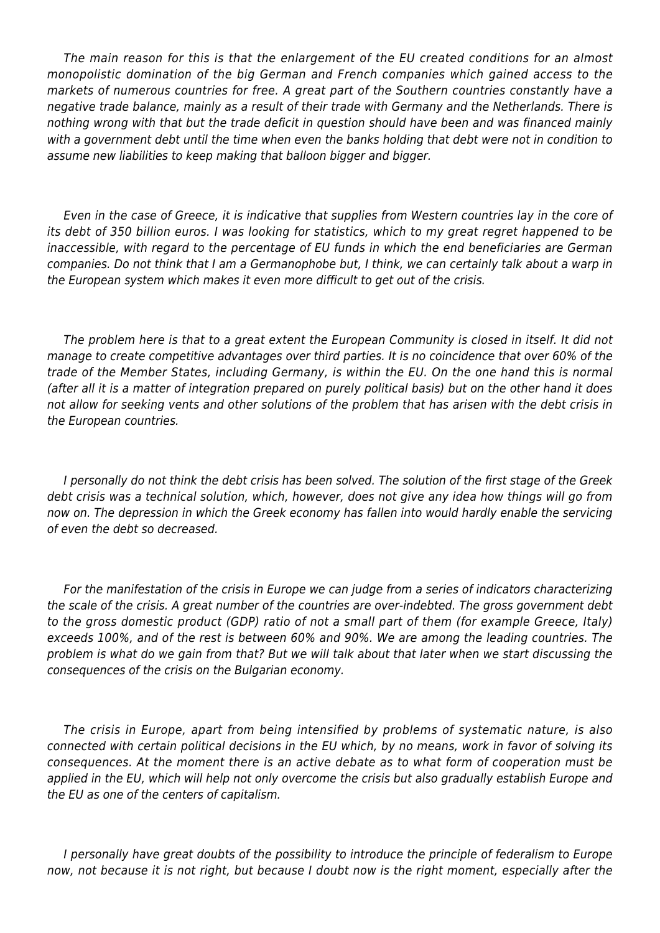The main reason for this is that the enlargement of the EU created conditions for an almost monopolistic domination of the big German and French companies which gained access to the markets of numerous countries for free. A great part of the Southern countries constantly have a negative trade balance, mainly as a result of their trade with Germany and the Netherlands. There is nothing wrong with that but the trade deficit in question should have been and was financed mainly with a government debt until the time when even the banks holding that debt were not in condition to assume new liabilities to keep making that balloon bigger and bigger.

Even in the case of Greece, it is indicative that supplies from Western countries lay in the core of its debt of 350 billion euros. I was looking for statistics, which to my great regret happened to be inaccessible, with regard to the percentage of EU funds in which the end beneficiaries are German companies. Do not think that I am a Germanophobe but, I think, we can certainly talk about a warp in the European system which makes it even more difficult to get out of the crisis.

The problem here is that to a great extent the European Community is closed in itself. It did not manage to create competitive advantages over third parties. It is no coincidence that over 60% of the trade of the Member States, including Germany, is within the EU. On the one hand this is normal (after all it is a matter of integration prepared on purely political basis) but on the other hand it does not allow for seeking vents and other solutions of the problem that has arisen with the debt crisis in the European countries.

I personally do not think the debt crisis has been solved. The solution of the first stage of the Greek debt crisis was a technical solution, which, however, does not give any idea how things will go from now on. The depression in which the Greek economy has fallen into would hardly enable the servicing of even the debt so decreased.

For the manifestation of the crisis in Europe we can judge from a series of indicators characterizing the scale of the crisis. A great number of the countries are over-indebted. The gross government debt to the gross domestic product (GDP) ratio of not a small part of them (for example Greece, Italy) exceeds 100%, and of the rest is between 60% and 90%. We are among the leading countries. The problem is what do we gain from that? But we will talk about that later when we start discussing the consequences of the crisis on the Bulgarian economy.

The crisis in Europe, apart from being intensified by problems of systematic nature, is also connected with certain political decisions in the EU which, by no means, work in favor of solving its consequences. At the moment there is an active debate as to what form of cooperation must be applied in the EU, which will help not only overcome the crisis but also gradually establish Europe and the EU as one of the centers of capitalism.

I personally have great doubts of the possibility to introduce the principle of federalism to Europe now, not because it is not right, but because I doubt now is the right moment, especially after the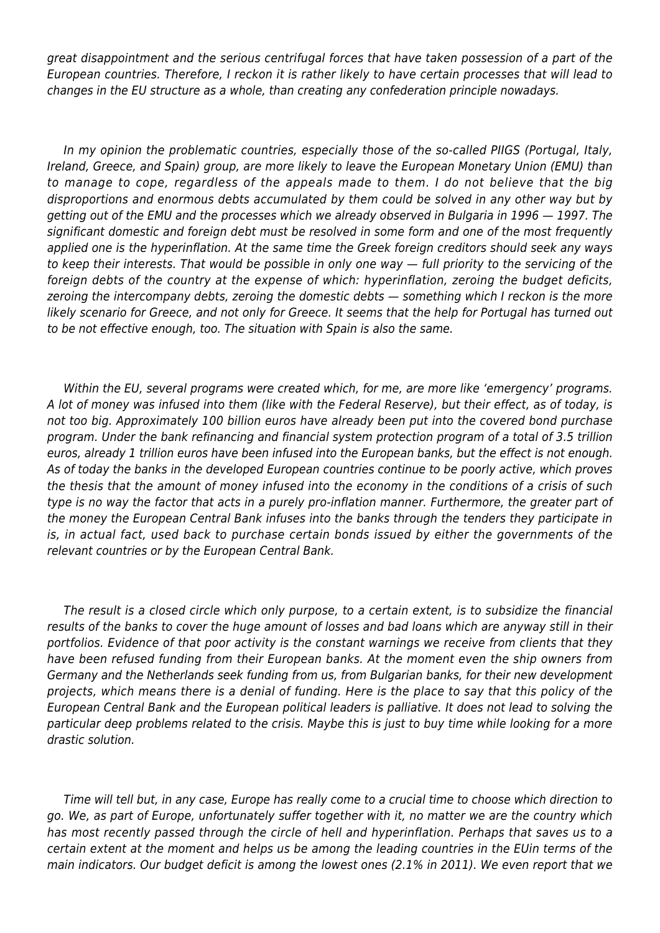great disappointment and the serious centrifugal forces that have taken possession of a part of the European countries. Therefore, I reckon it is rather likely to have certain processes that will lead to changes in the EU structure as a whole, than creating any confederation principle nowadays.

In my opinion the problematic countries, especially those of the so-called PIIGS (Portugal, Italy, Ireland, Greece, and Spain) group, are more likely to leave the European Monetary Union (EMU) than to manage to cope, regardless of the appeals made to them. I do not believe that the big disproportions and enormous debts accumulated by them could be solved in any other way but by getting out of the EMU and the processes which we already observed in Bulgaria in 1996 — 1997. The significant domestic and foreign debt must be resolved in some form and one of the most frequently applied one is the hyperinflation. At the same time the Greek foreign creditors should seek any ways to keep their interests. That would be possible in only one way — full priority to the servicing of the foreign debts of the country at the expense of which: hyperinflation, zeroing the budget deficits, zeroing the intercompany debts, zeroing the domestic debts — something which I reckon is the more likely scenario for Greece, and not only for Greece. It seems that the help for Portugal has turned out to be not effective enough, too. The situation with Spain is also the same.

Within the EU, several programs were created which, for me, are more like 'emergency' programs. A lot of money was infused into them (like with the Federal Reserve), but their effect, as of today, is not too big. Approximately 100 billion euros have already been put into the covered bond purchase program. Under the bank refinancing and financial system protection program of a total of 3.5 trillion euros, already 1 trillion euros have been infused into the European banks, but the effect is not enough. As of today the banks in the developed European countries continue to be poorly active, which proves the thesis that the amount of money infused into the economy in the conditions of a crisis of such type is no way the factor that acts in a purely pro-inflation manner. Furthermore, the greater part of the money the European Central Bank infuses into the banks through the tenders they participate in is, in actual fact, used back to purchase certain bonds issued by either the governments of the relevant countries or by the European Central Bank.

The result is a closed circle which only purpose, to a certain extent, is to subsidize the financial results of the banks to cover the huge amount of losses and bad loans which are anyway still in their portfolios. Evidence of that poor activity is the constant warnings we receive from clients that they have been refused funding from their European banks. At the moment even the ship owners from Germany and the Netherlands seek funding from us, from Bulgarian banks, for their new development projects, which means there is a denial of funding. Here is the place to say that this policy of the European Central Bank and the European political leaders is palliative. It does not lead to solving the particular deep problems related to the crisis. Maybe this is just to buy time while looking for a more drastic solution.

Time will tell but, in any case, Europe has really come to a crucial time to choose which direction to go. We, as part of Europe, unfortunately suffer together with it, no matter we are the country which has most recently passed through the circle of hell and hyperinflation. Perhaps that saves us to a certain extent at the moment and helps us be among the leading countries in the EUin terms of the main indicators. Our budget deficit is among the lowest ones (2.1% in 2011). We even report that we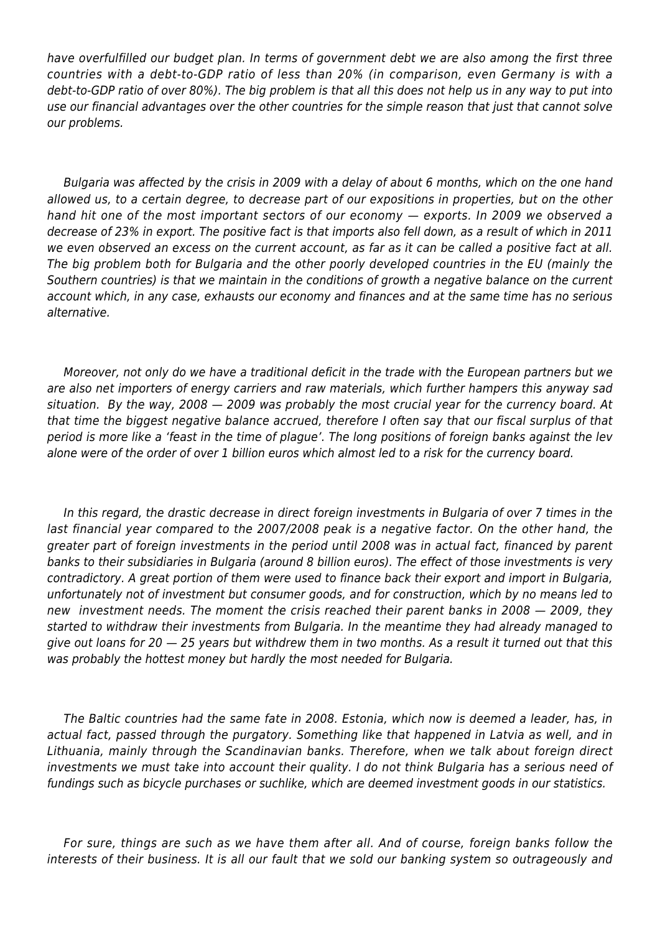have overfulfilled our budget plan. In terms of government debt we are also among the first three countries with a debt-to-GDP ratio of less than 20% (in comparison, even Germany is with a debt-to-GDP ratio of over 80%). The big problem is that all this does not help us in any way to put into use our financial advantages over the other countries for the simple reason that just that cannot solve our problems.

Bulgaria was affected by the crisis in 2009 with a delay of about 6 months, which on the one hand allowed us, to a certain degree, to decrease part of our expositions in properties, but on the other hand hit one of the most important sectors of our economy — exports. In 2009 we observed a decrease of 23% in export. The positive fact is that imports also fell down, as a result of which in 2011 we even observed an excess on the current account, as far as it can be called a positive fact at all. The big problem both for Bulgaria and the other poorly developed countries in the EU (mainly the Southern countries) is that we maintain in the conditions of growth a negative balance on the current account which, in any case, exhausts our economy and finances and at the same time has no serious alternative.

Moreover, not only do we have a traditional deficit in the trade with the European partners but we are also net importers of energy carriers and raw materials, which further hampers this anyway sad situation. By the way, 2008 — 2009 was probably the most crucial year for the currency board. At that time the biggest negative balance accrued, therefore I often say that our fiscal surplus of that period is more like a 'feast in the time of plague'. The long positions of foreign banks against the lev alone were of the order of over 1 billion euros which almost led to a risk for the currency board.

In this regard, the drastic decrease in direct foreign investments in Bulgaria of over 7 times in the last financial year compared to the 2007/2008 peak is a negative factor. On the other hand, the greater part of foreign investments in the period until 2008 was in actual fact, financed by parent banks to their subsidiaries in Bulgaria (around 8 billion euros). The effect of those investments is very contradictory. A great portion of them were used to finance back their export and import in Bulgaria, unfortunately not of investment but consumer goods, and for construction, which by no means led to new investment needs. The moment the crisis reached their parent banks in 2008 — 2009, they started to withdraw their investments from Bulgaria. In the meantime they had already managed to give out loans for 20  $-$  25 years but withdrew them in two months. As a result it turned out that this was probably the hottest money but hardly the most needed for Bulgaria.

The Baltic countries had the same fate in 2008. Estonia, which now is deemed a leader, has, in actual fact, passed through the purgatory. Something like that happened in Latvia as well, and in Lithuania, mainly through the Scandinavian banks. Therefore, when we talk about foreign direct investments we must take into account their quality. I do not think Bulgaria has a serious need of fundings such as bicycle purchases or suchlike, which are deemed investment goods in our statistics.

For sure, things are such as we have them after all. And of course, foreign banks follow the interests of their business. It is all our fault that we sold our banking system so outrageously and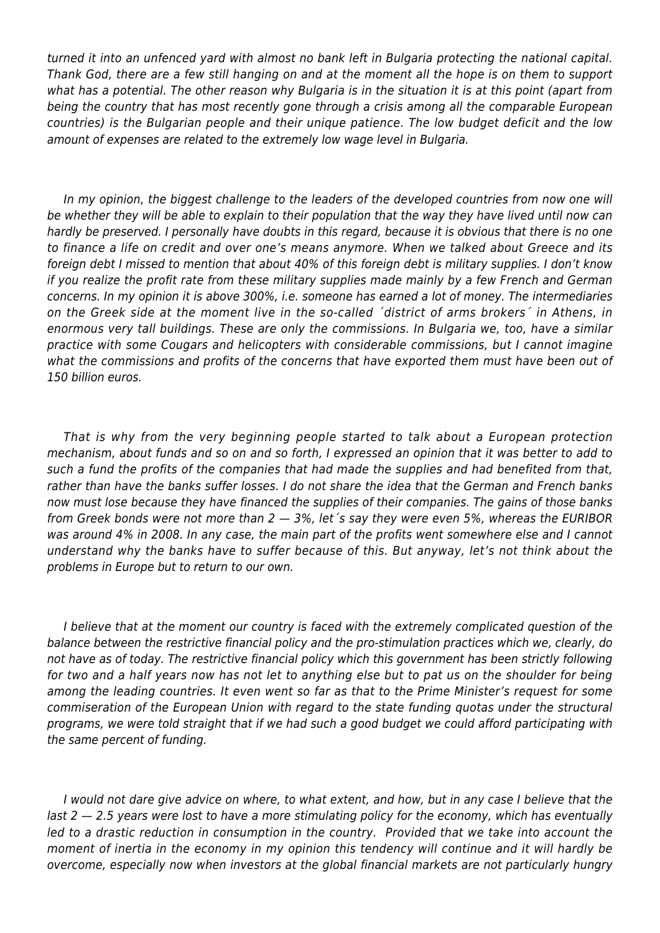turned it into an unfenced yard with almost no bank left in Bulgaria protecting the national capital. Thank God, there are a few still hanging on and at the moment all the hope is on them to support what has a potential. The other reason why Bulgaria is in the situation it is at this point (apart from being the country that has most recently gone through a crisis among all the comparable European countries) is the Bulgarian people and their unique patience. The low budget deficit and the low amount of expenses are related to the extremely low wage level in Bulgaria.

In my opinion, the biggest challenge to the leaders of the developed countries from now one will be whether they will be able to explain to their population that the way they have lived until now can hardly be preserved. I personally have doubts in this regard, because it is obvious that there is no one to finance a life on credit and over one's means anymore. When we talked about Greece and its foreign debt I missed to mention that about 40% of this foreign debt is military supplies. I don't know if you realize the profit rate from these military supplies made mainly by a few French and German concerns. In my opinion it is above 300%, i.e. someone has earned a lot of money. The intermediaries on the Greek side at the moment live in the so-called ´district of arms brokers´ in Athens, in enormous very tall buildings. These are only the commissions. In Bulgaria we, too, have a similar practice with some Cougars and helicopters with considerable commissions, but I cannot imagine what the commissions and profits of the concerns that have exported them must have been out of 150 billion euros.

That is why from the very beginning people started to talk about a European protection mechanism, about funds and so on and so forth, I expressed an opinion that it was better to add to such a fund the profits of the companies that had made the supplies and had benefited from that, rather than have the banks suffer losses. I do not share the idea that the German and French banks now must lose because they have financed the supplies of their companies. The gains of those banks from Greek bonds were not more than  $2 - 3$ %, let 's say they were even 5%, whereas the EURIBOR was around 4% in 2008. In any case, the main part of the profits went somewhere else and I cannot understand why the banks have to suffer because of this. But anyway, let's not think about the problems in Europe but to return to our own.

I believe that at the moment our country is faced with the extremely complicated question of the balance between the restrictive financial policy and the pro-stimulation practices which we, clearly, do not have as of today. The restrictive financial policy which this government has been strictly following for two and a half years now has not let to anything else but to pat us on the shoulder for being among the leading countries. It even went so far as that to the Prime Minister's request for some commiseration of the European Union with regard to the state funding quotas under the structural programs, we were told straight that if we had such a good budget we could afford participating with the same percent of funding.

I would not dare give advice on where, to what extent, and how, but in any case I believe that the last 2 – 2.5 years were lost to have a more stimulating policy for the economy, which has eventually led to a drastic reduction in consumption in the country. Provided that we take into account the moment of inertia in the economy in my opinion this tendency will continue and it will hardly be overcome, especially now when investors at the global financial markets are not particularly hungry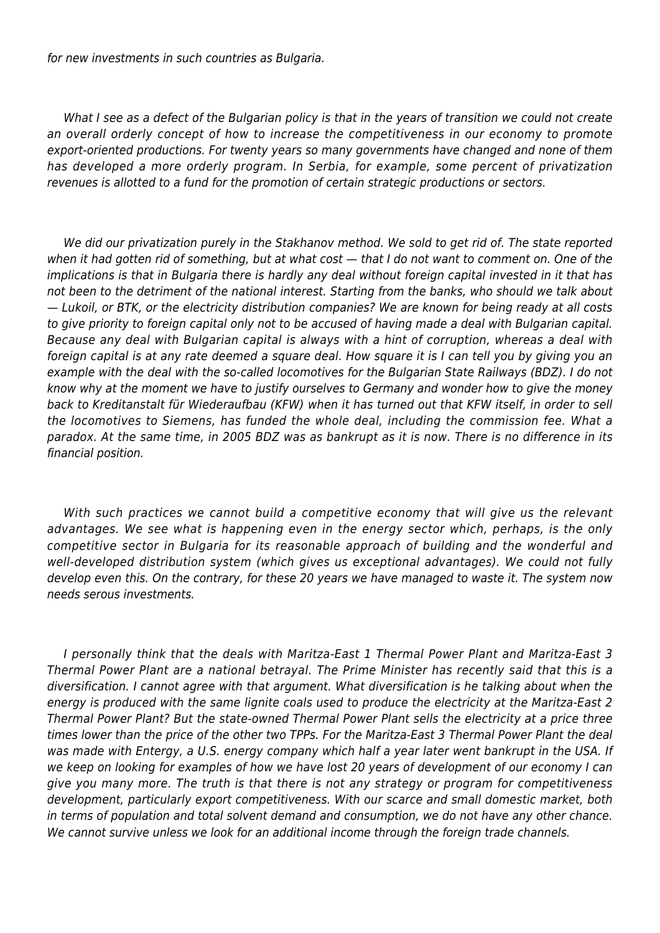for new investments in such countries as Bulgaria.

What I see as a defect of the Bulgarian policy is that in the years of transition we could not create an overall orderly concept of how to increase the competitiveness in our economy to promote export-oriented productions. For twenty years so many governments have changed and none of them has developed a more orderly program. In Serbia, for example, some percent of privatization revenues is allotted to a fund for the promotion of certain strategic productions or sectors.

We did our privatization purely in the Stakhanov method. We sold to get rid of. The state reported when it had gotten rid of something, but at what cost  $-$  that I do not want to comment on. One of the implications is that in Bulgaria there is hardly any deal without foreign capital invested in it that has not been to the detriment of the national interest. Starting from the banks, who should we talk about — Lukоil, or BTK, or the electricity distribution companies? We are known for being ready at all costs to give priority to foreign capital only not to be accused of having made a deal with Bulgarian capital. Because any deal with Bulgarian capital is always with a hint of corruption, whereas a deal with foreign capital is at any rate deemed a square deal. How square it is I can tell you by giving you an example with the deal with the so-called locomotives for the Bulgarian State Railways (BDZ). I do not know why at the moment we have to justify ourselves to Germany and wonder how to give the money back to Kreditanstalt für Wiederaufbau (KFW) when it has turned out that KFW itself, in order to sell the locomotives to Siemens, has funded the whole deal, including the commission fee. What a paradox. At the same time, in 2005 BDZ was as bankrupt as it is now. There is no difference in its financial position.

With such practices we cannot build a competitive economy that will give us the relevant advantages. We see what is happening even in the energy sector which, perhaps, is the only competitive sector in Bulgaria for its reasonable approach of building and the wonderful and well-developed distribution system (which gives us exceptional advantages). We could not fully develop even this. On the contrary, for these 20 years we have managed to waste it. The system now needs serous investments.

I personally think that the deals with Maritza-East 1 Thermal Power Plant and Maritza-East 3 Thermal Power Plant are a national betrayal. The Prime Minister has recently said that this is a diversification. I cannot agree with that argument. What diversification is he talking about when the energy is produced with the same lignite coals used to produce the electricity at the Maritza-East 2 Thermal Power Plant? But the state-owned Thermal Power Plant sells the electricity at a price three times lower than the price of the other two TPPs. For the Maritza-East 3 Thermal Power Plant the deal was made with Entergy, a U.S. energy company which half a year later went bankrupt in the USA. If we keep on looking for examples of how we have lost 20 years of development of our economy I can give you many more. The truth is that there is not any strategy or program for competitiveness development, particularly export competitiveness. With our scarce and small domestic market, both in terms of population and total solvent demand and consumption, we do not have any other chance. We cannot survive unless we look for an additional income through the foreign trade channels.